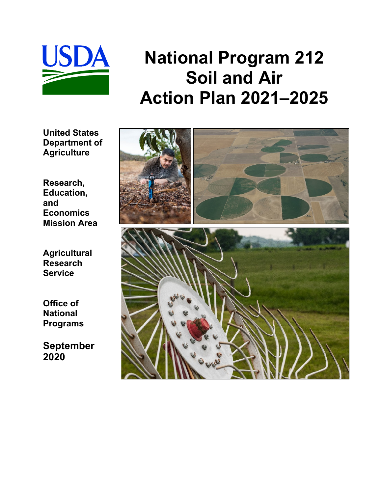

# **National Program 212 Soil and Air Action Plan 2021–2025**

**United States Department of Agriculture**

**Research, Education, and Economics Mission Area**

**Agricultural Research Service**

**Office of National Programs**

**September 2020**

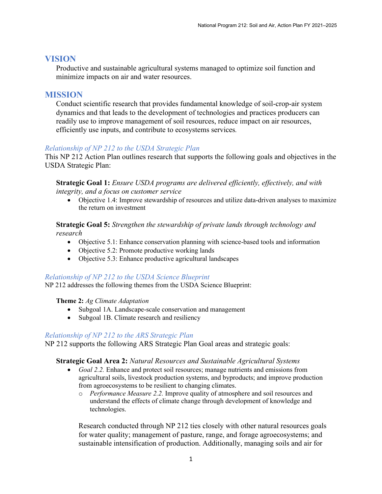# **VISION**

Productive and sustainable agricultural systems managed to optimize soil function and minimize impacts on air and water resources.

# **MISSION**

Conduct scientific research that provides fundamental knowledge of soil-crop-air system dynamics and that leads to the development of technologies and practices producers can readily use to improve management of soil resources, reduce impact on air resources, efficiently use inputs, and contribute to ecosystems services*.*

## *Relationship of NP 212 to the USDA Strategic Plan*

This NP 212 Action Plan outlines research that supports the following goals and objectives in the USDA Strategic Plan:

**Strategic Goal 1:** *Ensure USDA programs are delivered efficiently, effectively, and with integrity, and a focus on customer service* 

• Objective 1.4: Improve stewardship of resources and utilize data-driven analyses to maximize the return on investment

### **Strategic Goal 5:** *Strengthen the stewardship of private lands through technology and research*

- Objective 5.1: Enhance conservation planning with science-based tools and information
- Objective 5.2: Promote productive working lands
- Objective 5.3: Enhance productive agricultural landscapes

#### *Relationship of NP 212 to the USDA Science Blueprint*

NP 212 addresses the following themes from the USDA Science Blueprint:

#### **Theme 2:** *Ag Climate Adaptation*

- Subgoal 1A. Landscape-scale conservation and management
- Subgoal 1B. Climate research and resiliency

#### *Relationship of NP 212 to the ARS Strategic Plan*

NP 212 supports the following ARS Strategic Plan Goal areas and strategic goals:

#### **Strategic Goal Area 2:** *Natural Resources and Sustainable Agricultural Systems*

- *Goal 2.2.* Enhance and protect soil resources; manage nutrients and emissions from agricultural soils, livestock production systems, and byproducts; and improve production from agroecosystems to be resilient to changing climates.
	- o *Performance Measure 2.2.* Improve quality of atmosphere and soil resources and understand the effects of climate change through development of knowledge and technologies.

Research conducted through NP 212 ties closely with other natural resources goals for water quality; management of pasture, range, and forage agroecosystems; and sustainable intensification of production. Additionally, managing soils and air for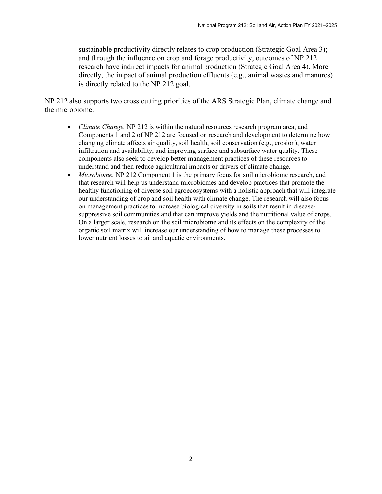sustainable productivity directly relates to crop production (Strategic Goal Area 3); and through the influence on crop and forage productivity, outcomes of NP 212 research have indirect impacts for animal production (Strategic Goal Area 4). More directly, the impact of animal production effluents (e.g., animal wastes and manures) is directly related to the NP 212 goal.

NP 212 also supports two cross cutting priorities of the ARS Strategic Plan, climate change and the microbiome.

- *Climate Change.* NP 212 is within the natural resources research program area, and Components 1 and 2 of NP 212 are focused on research and development to determine how changing climate affects air quality, soil health, soil conservation (e.g., erosion), water infiltration and availability, and improving surface and subsurface water quality. These components also seek to develop better management practices of these resources to understand and then reduce agricultural impacts or drivers of climate change.
- *Microbiome.* NP 212 Component 1 is the primary focus for soil microbiome research, and that research will help us understand microbiomes and develop practices that promote the healthy functioning of diverse soil agroecosystems with a holistic approach that will integrate our understanding of crop and soil health with climate change. The research will also focus on management practices to increase biological diversity in soils that result in diseasesuppressive soil communities and that can improve yields and the nutritional value of crops. On a larger scale, research on the soil microbiome and its effects on the complexity of the organic soil matrix will increase our understanding of how to manage these processes to lower nutrient losses to air and aquatic environments.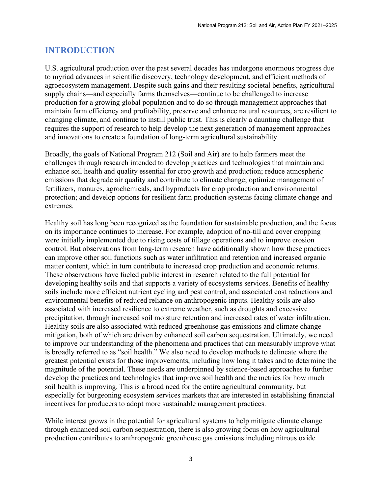# **INTRODUCTION**

U.S. agricultural production over the past several decades has undergone enormous progress due to myriad advances in scientific discovery, technology development, and efficient methods of agroecosystem management. Despite such gains and their resulting societal benefits, agricultural supply chains—and especially farms themselves—continue to be challenged to increase production for a growing global population and to do so through management approaches that maintain farm efficiency and profitability, preserve and enhance natural resources, are resilient to changing climate, and continue to instill public trust. This is clearly a daunting challenge that requires the support of research to help develop the next generation of management approaches and innovations to create a foundation of long-term agricultural sustainability.

Broadly, the goals of National Program 212 (Soil and Air) are to help farmers meet the challenges through research intended to develop practices and technologies that maintain and enhance soil health and quality essential for crop growth and production; reduce atmospheric emissions that degrade air quality and contribute to climate change; optimize management of fertilizers, manures, agrochemicals, and byproducts for crop production and environmental protection; and develop options for resilient farm production systems facing climate change and extremes.

Healthy soil has long been recognized as the foundation for sustainable production, and the focus on its importance continues to increase. For example, adoption of no-till and cover cropping were initially implemented due to rising costs of tillage operations and to improve erosion control. But observations from long-term research have additionally shown how these practices can improve other soil functions such as water infiltration and retention and increased organic matter content, which in turn contribute to increased crop production and economic returns. These observations have fueled public interest in research related to the full potential for developing healthy soils and that supports a variety of ecosystems services. Benefits of healthy soils include more efficient nutrient cycling and pest control, and associated cost reductions and environmental benefits of reduced reliance on anthropogenic inputs. Healthy soils are also associated with increased resilience to extreme weather, such as droughts and excessive precipitation, through increased soil moisture retention and increased rates of water infiltration. Healthy soils are also associated with reduced greenhouse gas emissions and climate change mitigation, both of which are driven by enhanced soil carbon sequestration. Ultimately, we need to improve our understanding of the phenomena and practices that can measurably improve what is broadly referred to as "soil health." We also need to develop methods to delineate where the greatest potential exists for those improvements, including how long it takes and to determine the magnitude of the potential. These needs are underpinned by science-based approaches to further develop the practices and technologies that improve soil health and the metrics for how much soil health is improving. This is a broad need for the entire agricultural community, but especially for burgeoning ecosystem services markets that are interested in establishing financial incentives for producers to adopt more sustainable management practices.

While interest grows in the potential for agricultural systems to help mitigate climate change through enhanced soil carbon sequestration, there is also growing focus on how agricultural production contributes to anthropogenic greenhouse gas emissions including nitrous oxide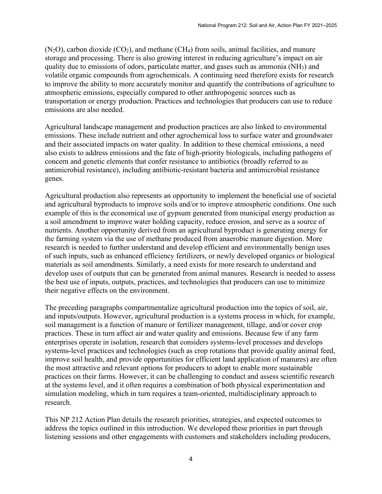$(N_2O)$ , carbon dioxide  $(CO_2)$ , and methane  $(CH_4)$  from soils, animal facilities, and manure storage and processing. There is also growing interest in reducing agriculture's impact on air quality due to emissions of odors, particulate matter, and gases such as ammonia (NH3) and volatile organic compounds from agrochemicals. A continuing need therefore exists for research to improve the ability to more accurately monitor and quantify the contributions of agriculture to atmospheric emissions, especially compared to other anthropogenic sources such as transportation or energy production. Practices and technologies that producers can use to reduce emissions are also needed.

Agricultural landscape management and production practices are also linked to environmental emissions. These include nutrient and other agrochemical loss to surface water and groundwater and their associated impacts on water quality. In addition to these chemical emissions, a need also exists to address emissions and the fate of high-priority biologicals, including pathogens of concern and genetic elements that confer resistance to antibiotics (broadly referred to as antimicrobial resistance), including antibiotic-resistant bacteria and antimicrobial resistance genes.

Agricultural production also represents an opportunity to implement the beneficial use of societal and agricultural byproducts to improve soils and/or to improve atmospheric conditions. One such example of this is the economical use of gypsum generated from municipal energy production as a soil amendment to improve water holding capacity, reduce erosion, and serve as a source of nutrients. Another opportunity derived from an agricultural byproduct is generating energy for the farming system via the use of methane produced from anaerobic manure digestion. More research is needed to further understand and develop efficient and environmentally benign uses of such inputs, such as enhanced efficiency fertilizers, or newly developed organics or biological materials as soil amendments. Similarly, a need exists for more research to understand and develop uses of outputs that can be generated from animal manures. Research is needed to assess the best use of inputs, outputs, practices, and technologies that producers can use to minimize their negative effects on the environment.

The preceding paragraphs compartmentalize agricultural production into the topics of soil, air, and inputs/outputs. However, agricultural production is a systems process in which, for example, soil management is a function of manure or fertilizer management, tillage, and/or cover crop practices. These in turn affect air and water quality and emissions. Because few if any farm enterprises operate in isolation, research that considers systems-level processes and develops systems-level practices and technologies (such as crop rotations that provide quality animal feed, improve soil health, and provide opportunities for efficient land application of manures) are often the most attractive and relevant options for producers to adopt to enable more sustainable practices on their farms. However, it can be challenging to conduct and assess scientific research at the systems level, and it often requires a combination of both physical experimentation and simulation modeling, which in turn requires a team-oriented, multidisciplinary approach to research.

This NP 212 Action Plan details the research priorities, strategies, and expected outcomes to address the topics outlined in this introduction. We developed these priorities in part through listening sessions and other engagements with customers and stakeholders including producers,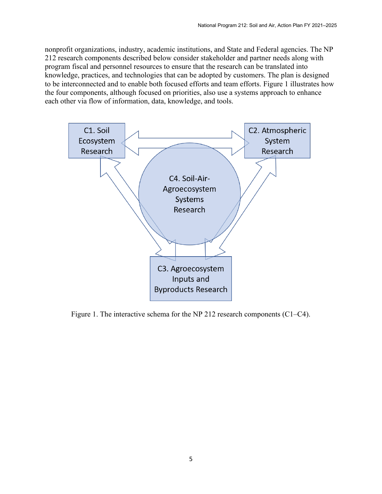nonprofit organizations, industry, academic institutions, and State and Federal agencies. The NP 212 research components described below consider stakeholder and partner needs along with program fiscal and personnel resources to ensure that the research can be translated into knowledge, practices, and technologies that can be adopted by customers. The plan is designed to be interconnected and to enable both focused efforts and team efforts. Figure 1 illustrates how the four components, although focused on priorities, also use a systems approach to enhance each other via flow of information, data, knowledge, and tools.



Figure 1. The interactive schema for the NP 212 research components (C1–C4).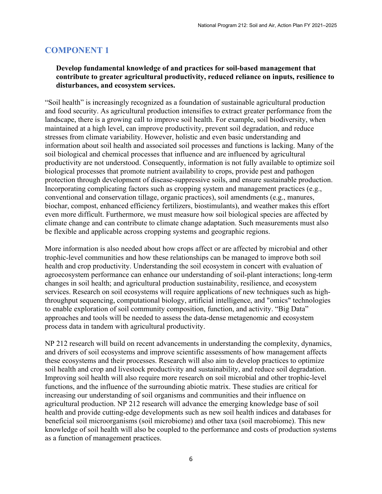# **COMPONENT 1**

# **Develop fundamental knowledge of and practices for soil-based management that contribute to greater agricultural productivity, reduced reliance on inputs, resilience to disturbances, and ecosystem services.**

"Soil health" is increasingly recognized as a foundation of sustainable agricultural production and food security. As agricultural production intensifies to extract greater performance from the landscape, there is a growing call to improve soil health. For example, soil biodiversity, when maintained at a high level, can improve productivity, prevent soil degradation, and reduce stresses from climate variability. However, holistic and even basic understanding and information about soil health and associated soil processes and functions is lacking. Many of the soil biological and chemical processes that influence and are influenced by agricultural productivity are not understood. Consequently, information is not fully available to optimize soil biological processes that promote nutrient availability to crops, provide pest and pathogen protection through development of disease-suppressive soils, and ensure sustainable production. Incorporating complicating factors such as cropping system and management practices (e.g., conventional and conservation tillage, organic practices), soil amendments (e.g., manures, biochar, compost, enhanced efficiency fertilizers, biostimulants), and weather makes this effort even more difficult. Furthermore, we must measure how soil biological species are affected by climate change and can contribute to climate change adaptation. Such measurements must also be flexible and applicable across cropping systems and geographic regions.

More information is also needed about how crops affect or are affected by microbial and other trophic-level communities and how these relationships can be managed to improve both soil health and crop productivity. Understanding the soil ecosystem in concert with evaluation of agroecosystem performance can enhance our understanding of soil-plant interactions; long-term changes in soil health; and agricultural production sustainability, resilience, and ecosystem services. Research on soil ecosystems will require applications of new techniques such as highthroughput sequencing, computational biology, artificial intelligence, and "omics" technologies to enable exploration of soil community composition, function, and activity. "Big Data" approaches and tools will be needed to assess the data-dense metagenomic and ecosystem process data in tandem with agricultural productivity.

NP 212 research will build on recent advancements in understanding the complexity, dynamics, and drivers of soil ecosystems and improve scientific assessments of how management affects these ecosystems and their processes. Research will also aim to develop practices to optimize soil health and crop and livestock productivity and sustainability, and reduce soil degradation. Improving soil health will also require more research on soil microbial and other trophic-level functions, and the influence of the surrounding abiotic matrix. These studies are critical for increasing our understanding of soil organisms and communities and their influence on agricultural production. NP 212 research will advance the emerging knowledge base of soil health and provide cutting-edge developments such as new soil health indices and databases for beneficial soil microorganisms (soil microbiome) and other taxa (soil macrobiome). This new knowledge of soil health will also be coupled to the performance and costs of production systems as a function of management practices.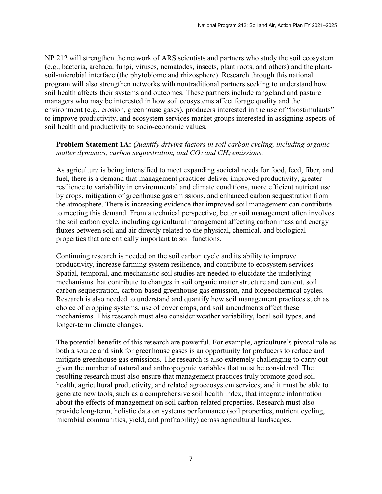NP 212 will strengthen the network of ARS scientists and partners who study the soil ecosystem (e.g., bacteria, archaea, fungi, viruses, nematodes, insects, plant roots, and others) and the plantsoil-microbial interface (the phytobiome and rhizosphere). Research through this national program will also strengthen networks with nontraditional partners seeking to understand how soil health affects their systems and outcomes. These partners include rangeland and pasture managers who may be interested in how soil ecosystems affect forage quality and the environment (e.g., erosion, greenhouse gases), producers interested in the use of "biostimulants" to improve productivity, and ecosystem services market groups interested in assigning aspects of soil health and productivity to socio-economic values.

# **Problem Statement 1A:** *Quantify driving factors in soil carbon cycling, including organic matter dynamics, carbon sequestration, and CO2 and CH4 emissions.*

As agriculture is being intensified to meet expanding societal needs for food, feed, fiber, and fuel, there is a demand that management practices deliver improved productivity, greater resilience to variability in environmental and climate conditions, more efficient nutrient use by crops, mitigation of greenhouse gas emissions, and enhanced carbon sequestration from the atmosphere. There is increasing evidence that improved soil management can contribute to meeting this demand. From a technical perspective, better soil management often involves the soil carbon cycle, including agricultural management affecting carbon mass and energy fluxes between soil and air directly related to the physical, chemical, and biological properties that are critically important to soil functions.

Continuing research is needed on the soil carbon cycle and its ability to improve productivity, increase farming system resilience, and contribute to ecosystem services. Spatial, temporal, and mechanistic soil studies are needed to elucidate the underlying mechanisms that contribute to changes in soil organic matter structure and content, soil carbon sequestration, carbon-based greenhouse gas emission, and biogeochemical cycles. Research is also needed to understand and quantify how soil management practices such as choice of cropping systems, use of cover crops, and soil amendments affect these mechanisms. This research must also consider weather variability, local soil types, and longer-term climate changes.

The potential benefits of this research are powerful. For example, agriculture's pivotal role as both a source and sink for greenhouse gases is an opportunity for producers to reduce and mitigate greenhouse gas emissions. The research is also extremely challenging to carry out given the number of natural and anthropogenic variables that must be considered. The resulting research must also ensure that management practices truly promote good soil health, agricultural productivity, and related agroecosystem services; and it must be able to generate new tools, such as a comprehensive soil health index, that integrate information about the effects of management on soil carbon-related properties. Research must also provide long-term, holistic data on systems performance (soil properties, nutrient cycling, microbial communities, yield, and profitability) across agricultural landscapes.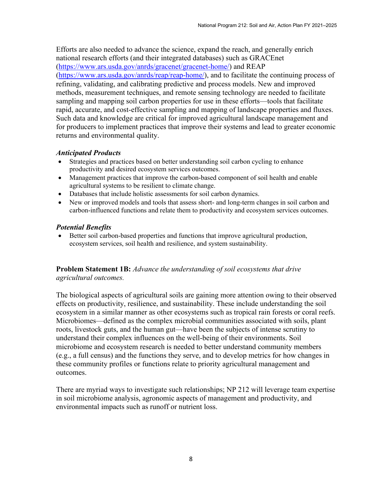Efforts are also needed to advance the science, expand the reach, and generally enrich national research efforts (and their integrated databases) such as GRACEnet [\(https://www.ars.usda.gov/anrds/gracenet/gracenet-home/\)](https://www.ars.usda.gov/anrds/gracenet/gracenet-home/) and REAP [\(https://www.ars.usda.gov/anrds/reap/reap-home/\)](https://www.ars.usda.gov/anrds/reap/reap-home/), and to facilitate the continuing process of refining, validating, and calibrating predictive and process models. New and improved methods, measurement techniques, and remote sensing technology are needed to facilitate sampling and mapping soil carbon properties for use in these efforts—tools that facilitate rapid, accurate, and cost-effective sampling and mapping of landscape properties and fluxes. Such data and knowledge are critical for improved agricultural landscape management and for producers to implement practices that improve their systems and lead to greater economic returns and environmental quality.

#### *Anticipated Products*

- Strategies and practices based on better understanding soil carbon cycling to enhance productivity and desired ecosystem services outcomes.
- Management practices that improve the carbon-based component of soil health and enable agricultural systems to be resilient to climate change.
- Databases that include holistic assessments for soil carbon dynamics.
- New or improved models and tools that assess short- and long-term changes in soil carbon and carbon-influenced functions and relate them to productivity and ecosystem services outcomes.

#### *Potential Benefits*

• Better soil carbon-based properties and functions that improve agricultural production, ecosystem services, soil health and resilience, and system sustainability.

**Problem Statement 1B:** *Advance the understanding of soil ecosystems that drive agricultural outcomes.*

The biological aspects of agricultural soils are gaining more attention owing to their observed effects on productivity, resilience, and sustainability. These include understanding the soil ecosystem in a similar manner as other ecosystems such as tropical rain forests or coral reefs. Microbiomes—defined as the complex microbial communities associated with soils, plant roots, livestock guts, and the human gut—have been the subjects of intense scrutiny to understand their complex influences on the well-being of their environments. Soil microbiome and ecosystem research is needed to better understand community members (e.g., a full census) and the functions they serve, and to develop metrics for how changes in these community profiles or functions relate to priority agricultural management and outcomes.

There are myriad ways to investigate such relationships; NP 212 will leverage team expertise in soil microbiome analysis, agronomic aspects of management and productivity, and environmental impacts such as runoff or nutrient loss.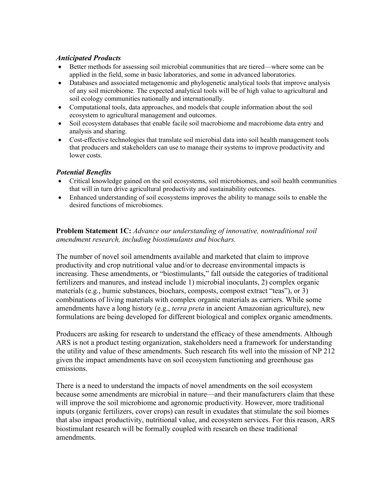## *Anticipated Products*

- Better methods for assessing soil microbial communities that are tiered—where some can be applied in the field, some in basic laboratories, and some in advanced laboratories.
- Databases and associated metagenomic and phylogenetic analytical tools that improve analysis of any soil microbiome. The expected analytical tools will be of high value to agricultural and soil ecology communities nationally and internationally.
- Computational tools, data approaches, and models that couple information about the soil ecosystem to agricultural management and outcomes.
- Soil ecosystem databases that enable facile soil macrobiome and macrobiome data entry and analysis and sharing.
- Cost-effective technologies that translate soil microbial data into soil health management tools that producers and stakeholders can use to manage their systems to improve productivity and lower costs.

# *Potential Benefits*

- Critical knowledge gained on the soil ecosystems, soil microbiomes, and soil health communities that will in turn drive agricultural productivity and sustainability outcomes.
- Enhanced understanding of soil ecosystems improves the ability to manage soils to enable the desired functions of microbiomes.

**Problem Statement 1C:** *Advance our understanding of innovative, nontraditional soil amendment research, including biostimulants and biochars.*

The number of novel soil amendments available and marketed that claim to improve productivity and crop nutritional value and/or to decrease environmental impacts is increasing. These amendments, or "biostimulants," fall outside the categories of traditional fertilizers and manures, and instead include 1) microbial inoculants, 2) complex organic materials (e.g., humic substances, biochars, composts, compost extract "teas"), or 3) combinations of living materials with complex organic materials as carriers. While some amendments have a long history (e.g., *terra preta* in ancient Amazonian agriculture), new formulations are being developed for different biological and complex organic amendments.

Producers are asking for research to understand the efficacy of these amendments. Although ARS is not a product testing organization, stakeholders need a framework for understanding the utility and value of these amendments. Such research fits well into the mission of NP 212 given the impact amendments have on soil ecosystem functioning and greenhouse gas emissions.

There is a need to understand the impacts of novel amendments on the soil ecosystem because some amendments are microbial in nature—and their manufacturers claim that these will improve the soil microbiome and agronomic productivity. However, more traditional inputs (organic fertilizers, cover crops) can result in exudates that stimulate the soil biomes that also impact productivity, nutritional value, and ecosystem services. For this reason, ARS biostimulant research will be formally coupled with research on these traditional amendments.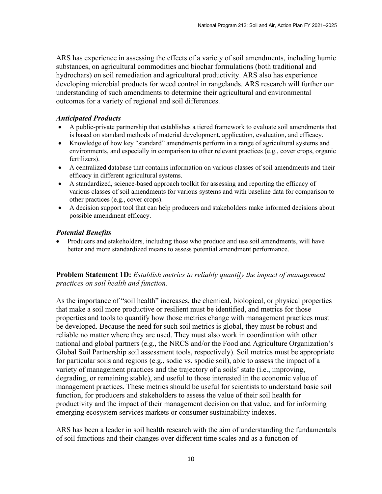ARS has experience in assessing the effects of a variety of soil amendments, including humic substances, on agricultural commodities and biochar formulations (both traditional and hydrochars) on soil remediation and agricultural productivity. ARS also has experience developing microbial products for weed control in rangelands. ARS research will further our understanding of such amendments to determine their agricultural and environmental outcomes for a variety of regional and soil differences.

#### *Anticipated Products*

- A public-private partnership that establishes a tiered framework to evaluate soil amendments that is based on standard methods of material development, application, evaluation, and efficacy.
- Knowledge of how key "standard" amendments perform in a range of agricultural systems and environments, and especially in comparison to other relevant practices (e.g., cover crops, organic fertilizers).
- A centralized database that contains information on various classes of soil amendments and their efficacy in different agricultural systems.
- A standardized, science-based approach toolkit for assessing and reporting the efficacy of various classes of soil amendments for various systems and with baseline data for comparison to other practices (e.g., cover crops).
- A decision support tool that can help producers and stakeholders make informed decisions about possible amendment efficacy.

#### *Potential Benefits*

• Producers and stakeholders, including those who produce and use soil amendments, will have better and more standardized means to assess potential amendment performance.

## **Problem Statement 1D:** *Establish metrics to reliably quantify the impact of management practices on soil health and function.*

As the importance of "soil health" increases, the chemical, biological, or physical properties that make a soil more productive or resilient must be identified, and metrics for those properties and tools to quantify how those metrics change with management practices must be developed. Because the need for such soil metrics is global, they must be robust and reliable no matter where they are used. They must also work in coordination with other national and global partners (e.g., the NRCS and/or the Food and Agriculture Organization's Global Soil Partnership soil assessment tools, respectively). Soil metrics must be appropriate for particular soils and regions (e.g., sodic vs. spodic soil), able to assess the impact of a variety of management practices and the trajectory of a soils' state (i.e., improving, degrading, or remaining stable), and useful to those interested in the economic value of management practices. These metrics should be useful for scientists to understand basic soil function, for producers and stakeholders to assess the value of their soil health for productivity and the impact of their management decision on that value, and for informing emerging ecosystem services markets or consumer sustainability indexes.

ARS has been a leader in soil health research with the aim of understanding the fundamentals of soil functions and their changes over different time scales and as a function of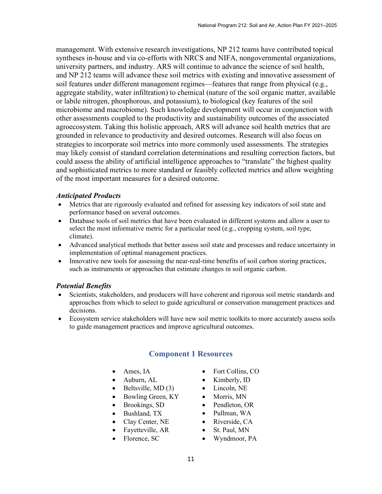management. With extensive research investigations, NP 212 teams have contributed topical syntheses in-house and via co-efforts with NRCS and NIFA, nongovernmental organizations, university partners, and industry. ARS will continue to advance the science of soil health, and NP 212 teams will advance these soil metrics with existing and innovative assessment of soil features under different management regimes—features that range from physical (e.g., aggregate stability, water infiltration) to chemical (nature of the soil organic matter, available or labile nitrogen, phosphorous, and potassium), to biological (key features of the soil microbiome and macrobiome). Such knowledge development will occur in conjunction with other assessments coupled to the productivity and sustainability outcomes of the associated agroecosystem. Taking this holistic approach, ARS will advance soil health metrics that are grounded in relevance to productivity and desired outcomes. Research will also focus on strategies to incorporate soil metrics into more commonly used assessments. The strategies may likely consist of standard correlation determinations and resulting correction factors, but could assess the ability of artificial intelligence approaches to "translate" the highest quality and sophisticated metrics to more standard or feasibly collected metrics and allow weighting of the most important measures for a desired outcome.

#### *Anticipated Products*

- Metrics that are rigorously evaluated and refined for assessing key indicators of soil state and performance based on several outcomes.
- Database tools of soil metrics that have been evaluated in different systems and allow a user to select the most informative metric for a particular need (e.g., cropping system, soil type, climate).
- Advanced analytical methods that better assess soil state and processes and reduce uncertainty in implementation of optimal management practices.
- Innovative new tools for assessing the near-real-time benefits of soil carbon storing practices, such as instruments or approaches that estimate changes in soil organic carbon.

# *Potential Benefits*

- Scientists, stakeholders, and producers will have coherent and rigorous soil metric standards and approaches from which to select to guide agricultural or conservation management practices and decisions.
- Ecosystem service stakeholders will have new soil metric toolkits to more accurately assess soils to guide management practices and improve agricultural outcomes.

# **Component 1 Resources**

- Ames, IA
- Auburn, AL
- Beltsville, MD (3)
- Bowling Green, KY
- Brookings, SD
- Bushland, TX
- Clay Center, NE
- Fayetteville, AR
- Florence, SC
- Fort Collins, CO
- Kimberly, ID
- Lincoln, NE
- Morris, MN
- Pendleton, OR
- Pullman, WA
- Riverside, CA
- St. Paul, MN
- Wyndmoor, PA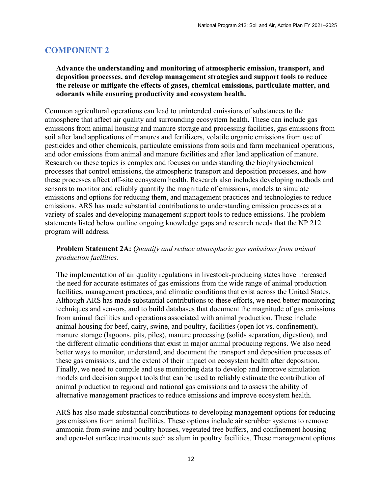# **COMPONENT 2**

# **Advance the understanding and monitoring of atmospheric emission, transport, and deposition processes, and develop management strategies and support tools to reduce the release or mitigate the effects of gases, chemical emissions, particulate matter, and odorants while ensuring productivity and ecosystem health.**

Common agricultural operations can lead to unintended emissions of substances to the atmosphere that affect air quality and surrounding ecosystem health. These can include gas emissions from animal housing and manure storage and processing facilities, gas emissions from soil after land applications of manures and fertilizers, volatile organic emissions from use of pesticides and other chemicals, particulate emissions from soils and farm mechanical operations, and odor emissions from animal and manure facilities and after land application of manure. Research on these topics is complex and focuses on understanding the biophysiochemical processes that control emissions, the atmospheric transport and deposition processes, and how these processes affect off-site ecosystem health. Research also includes developing methods and sensors to monitor and reliably quantify the magnitude of emissions, models to simulate emissions and options for reducing them, and management practices and technologies to reduce emissions. ARS has made substantial contributions to understanding emission processes at a variety of scales and developing management support tools to reduce emissions. The problem statements listed below outline ongoing knowledge gaps and research needs that the NP 212 program will address.

# **Problem Statement 2A:** *Quantify and reduce atmospheric gas emissions from animal production facilities.*

The implementation of air quality regulations in livestock-producing states have increased the need for accurate estimates of gas emissions from the wide range of animal production facilities, management practices, and climatic conditions that exist across the United States. Although ARS has made substantial contributions to these efforts, we need better monitoring techniques and sensors, and to build databases that document the magnitude of gas emissions from animal facilities and operations associated with animal production. These include animal housing for beef, dairy, swine, and poultry, facilities (open lot vs. confinement), manure storage (lagoons, pits, piles), manure processing (solids separation, digestion), and the different climatic conditions that exist in major animal producing regions. We also need better ways to monitor, understand, and document the transport and deposition processes of these gas emissions, and the extent of their impact on ecosystem health after deposition. Finally, we need to compile and use monitoring data to develop and improve simulation models and decision support tools that can be used to reliably estimate the contribution of animal production to regional and national gas emissions and to assess the ability of alternative management practices to reduce emissions and improve ecosystem health.

ARS has also made substantial contributions to developing management options for reducing gas emissions from animal facilities. These options include air scrubber systems to remove ammonia from swine and poultry houses, vegetated tree buffers, and confinement housing and open-lot surface treatments such as alum in poultry facilities. These management options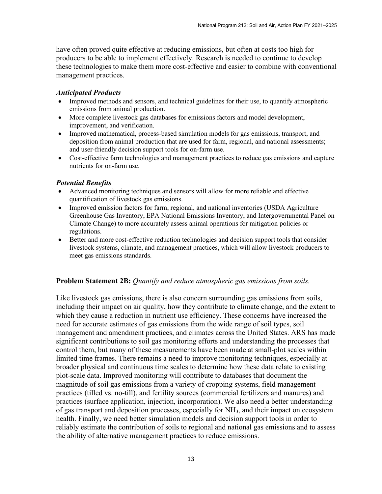have often proved quite effective at reducing emissions, but often at costs too high for producers to be able to implement effectively. Research is needed to continue to develop these technologies to make them more cost-effective and easier to combine with conventional management practices.

#### *Anticipated Products*

- Improved methods and sensors, and technical guidelines for their use, to quantify atmospheric emissions from animal production.
- More complete livestock gas databases for emissions factors and model development, improvement, and verification.
- Improved mathematical, process-based simulation models for gas emissions, transport, and deposition from animal production that are used for farm, regional, and national assessments; and user-friendly decision support tools for on-farm use.
- Cost-effective farm technologies and management practices to reduce gas emissions and capture nutrients for on-farm use.

#### *Potential Benefits*

- Advanced monitoring techniques and sensors will allow for more reliable and effective quantification of livestock gas emissions.
- Improved emission factors for farm, regional, and national inventories (USDA Agriculture Greenhouse Gas Inventory, EPA National Emissions Inventory, and Intergovernmental Panel on Climate Change) to more accurately assess animal operations for mitigation policies or regulations.
- Better and more cost-effective reduction technologies and decision support tools that consider livestock systems, climate, and management practices, which will allow livestock producers to meet gas emissions standards.

#### **Problem Statement 2B:** *Quantify and reduce atmospheric gas emissions from soils.*

Like livestock gas emissions, there is also concern surrounding gas emissions from soils, including their impact on air quality, how they contribute to climate change, and the extent to which they cause a reduction in nutrient use efficiency. These concerns have increased the need for accurate estimates of gas emissions from the wide range of soil types, soil management and amendment practices, and climates across the United States. ARS has made significant contributions to soil gas monitoring efforts and understanding the processes that control them, but many of these measurements have been made at small-plot scales within limited time frames. There remains a need to improve monitoring techniques, especially at broader physical and continuous time scales to determine how these data relate to existing plot-scale data. Improved monitoring will contribute to databases that document the magnitude of soil gas emissions from a variety of cropping systems, field management practices (tilled vs. no-till), and fertility sources (commercial fertilizers and manures) and practices (surface application, injection, incorporation). We also need a better understanding of gas transport and deposition processes, especially for NH3, and their impact on ecosystem health. Finally, we need better simulation models and decision support tools in order to reliably estimate the contribution of soils to regional and national gas emissions and to assess the ability of alternative management practices to reduce emissions.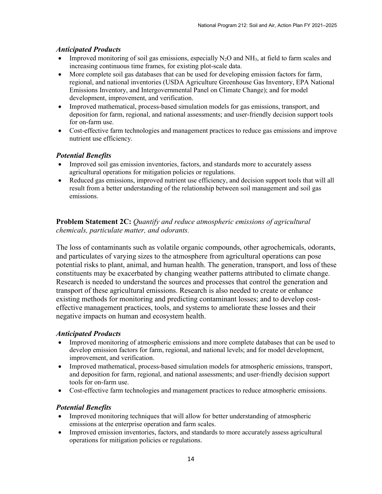# *Anticipated Products*

- Improved monitoring of soil gas emissions, especially  $N_2O$  and  $NH_3$ , at field to farm scales and increasing continuous time frames, for existing plot-scale data.
- More complete soil gas databases that can be used for developing emission factors for farm, regional, and national inventories (USDA Agriculture Greenhouse Gas Inventory, EPA National Emissions Inventory, and Intergovernmental Panel on Climate Change); and for model development, improvement, and verification.
- Improved mathematical, process-based simulation models for gas emissions, transport, and deposition for farm, regional, and national assessments; and user-friendly decision support tools for on-farm use.
- Cost-effective farm technologies and management practices to reduce gas emissions and improve nutrient use efficiency.

# *Potential Benefits*

- Improved soil gas emission inventories, factors, and standards more to accurately assess agricultural operations for mitigation policies or regulations.
- Reduced gas emissions, improved nutrient use efficiency, and decision support tools that will all result from a better understanding of the relationship between soil management and soil gas emissions.

# **Problem Statement 2C:** *Quantify and reduce atmospheric emissions of agricultural chemicals, particulate matter, and odorants.*

The loss of contaminants such as volatile organic compounds, other agrochemicals, odorants, and particulates of varying sizes to the atmosphere from agricultural operations can pose potential risks to plant, animal, and human health. The generation, transport, and loss of these constituents may be exacerbated by changing weather patterns attributed to climate change. Research is needed to understand the sources and processes that control the generation and transport of these agricultural emissions. Research is also needed to create or enhance existing methods for monitoring and predicting contaminant losses; and to develop costeffective management practices, tools, and systems to ameliorate these losses and their negative impacts on human and ecosystem health.

# *Anticipated Products*

- Improved monitoring of atmospheric emissions and more complete databases that can be used to develop emission factors for farm, regional, and national levels; and for model development, improvement, and verification.
- Improved mathematical, process-based simulation models for atmospheric emissions, transport, and deposition for farm, regional, and national assessments; and user-friendly decision support tools for on-farm use.
- Cost-effective farm technologies and management practices to reduce atmospheric emissions.

# *Potential Benefits*

- Improved monitoring techniques that will allow for better understanding of atmospheric emissions at the enterprise operation and farm scales.
- Improved emission inventories, factors, and standards to more accurately assess agricultural operations for mitigation policies or regulations.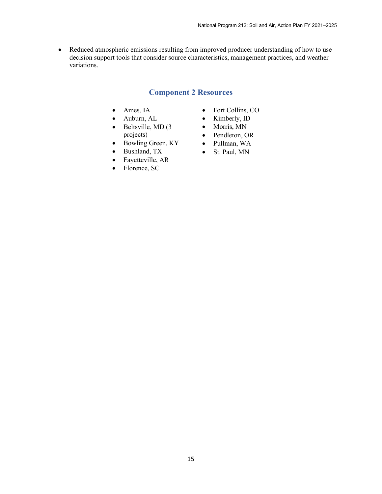• Reduced atmospheric emissions resulting from improved producer understanding of how to use decision support tools that consider source characteristics, management practices, and weather variations.

# **Component 2 Resources**

- Ames, IA
- Auburn, AL
- Beltsville, MD (3) projects)
- Bowling Green, KY
- Bushland, TX
- Fayetteville, AR
- Florence, SC
- Fort Collins, CO
- Kimberly, ID
- Morris, MN
- Pendleton, OR
- Pullman, WA
- St. Paul, MN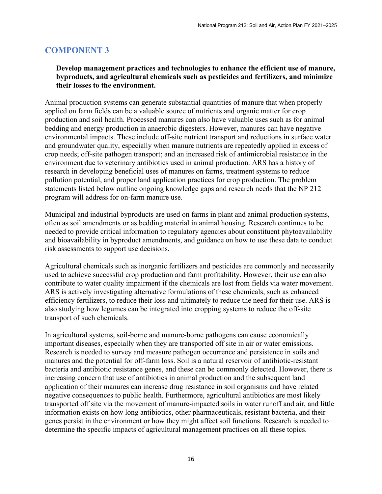# **COMPONENT 3**

# **Develop management practices and technologies to enhance the efficient use of manure, byproducts, and agricultural chemicals such as pesticides and fertilizers, and minimize their losses to the environment.**

Animal production systems can generate substantial quantities of manure that when properly applied on farm fields can be a valuable source of nutrients and organic matter for crop production and soil health. Processed manures can also have valuable uses such as for animal bedding and energy production in anaerobic digesters. However, manures can have negative environmental impacts. These include off-site nutrient transport and reductions in surface water and groundwater quality, especially when manure nutrients are repeatedly applied in excess of crop needs; off-site pathogen transport; and an increased risk of antimicrobial resistance in the environment due to veterinary antibiotics used in animal production. ARS has a history of research in developing beneficial uses of manures on farms, treatment systems to reduce pollution potential, and proper land application practices for crop production. The problem statements listed below outline ongoing knowledge gaps and research needs that the NP 212 program will address for on-farm manure use.

Municipal and industrial byproducts are used on farms in plant and animal production systems, often as soil amendments or as bedding material in animal housing. Research continues to be needed to provide critical information to regulatory agencies about constituent phytoavailability and bioavailability in byproduct amendments, and guidance on how to use these data to conduct risk assessments to support use decisions.

Agricultural chemicals such as inorganic fertilizers and pesticides are commonly and necessarily used to achieve successful crop production and farm profitability. However, their use can also contribute to water quality impairment if the chemicals are lost from fields via water movement. ARS is actively investigating alternative formulations of these chemicals, such as enhanced efficiency fertilizers, to reduce their loss and ultimately to reduce the need for their use. ARS is also studying how legumes can be integrated into cropping systems to reduce the off-site transport of such chemicals.

In agricultural systems, soil-borne and manure-borne pathogens can cause economically important diseases, especially when they are transported off site in air or water emissions. Research is needed to survey and measure pathogen occurrence and persistence in soils and manures and the potential for off-farm loss. Soil is a natural reservoir of antibiotic-resistant bacteria and antibiotic resistance genes, and these can be commonly detected. However, there is increasing concern that use of antibiotics in animal production and the subsequent land application of their manures can increase drug resistance in soil organisms and have related negative consequences to public health. Furthermore, agricultural antibiotics are most likely transported off site via the movement of manure-impacted soils in water runoff and air, and little information exists on how long antibiotics, other pharmaceuticals, resistant bacteria, and their genes persist in the environment or how they might affect soil functions. Research is needed to determine the specific impacts of agricultural management practices on all these topics.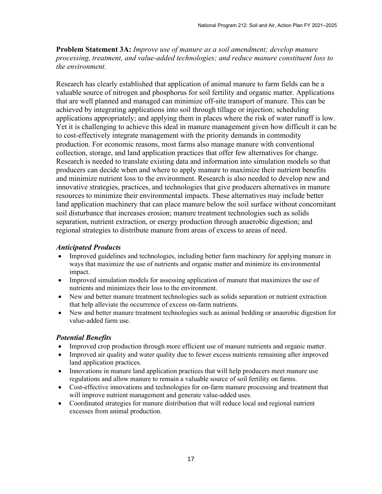**Problem Statement 3A:** *Improve use of manure as a soil amendment; develop manure processing, treatment, and value-added technologies; and reduce manure constituent loss to the environment.*

Research has clearly established that application of animal manure to farm fields can be a valuable source of nitrogen and phosphorus for soil fertility and organic matter. Applications that are well planned and managed can minimize off-site transport of manure. This can be achieved by integrating applications into soil through tillage or injection; scheduling applications appropriately; and applying them in places where the risk of water runoff is low. Yet it is challenging to achieve this ideal in manure management given how difficult it can be to cost-effectively integrate management with the priority demands in commodity production. For economic reasons, most farms also manage manure with conventional collection, storage, and land application practices that offer few alternatives for change. Research is needed to translate existing data and information into simulation models so that producers can decide when and where to apply manure to maximize their nutrient benefits and minimize nutrient loss to the environment. Research is also needed to develop new and innovative strategies, practices, and technologies that give producers alternatives in manure resources to minimize their environmental impacts. These alternatives may include better land application machinery that can place manure below the soil surface without concomitant soil disturbance that increases erosion; manure treatment technologies such as solids separation, nutrient extraction, or energy production through anaerobic digestion; and regional strategies to distribute manure from areas of excess to areas of need.

#### *Anticipated Products*

- Improved guidelines and technologies, including better farm machinery for applying manure in ways that maximize the use of nutrients and organic matter and minimize its environmental impact.
- Improved simulation models for assessing application of manure that maximizes the use of nutrients and minimizes their loss to the environment.
- New and better manure treatment technologies such as solids separation or nutrient extraction that help alleviate the occurrence of excess on-farm nutrients.
- New and better manure treatment technologies such as animal bedding or anaerobic digestion for value-added farm use.

#### *Potential Benefits*

- Improved crop production through more efficient use of manure nutrients and organic matter.
- Improved air quality and water quality due to fewer excess nutrients remaining after improved land application practices.
- Innovations in manure land application practices that will help producers meet manure use regulations and allow manure to remain a valuable source of soil fertility on farms.
- Cost-effective innovations and technologies for on-farm manure processing and treatment that will improve nutrient management and generate value-added uses.
- Coordinated strategies for manure distribution that will reduce local and regional nutrient excesses from animal production.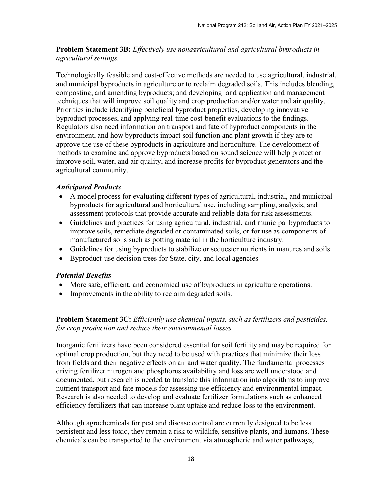**Problem Statement 3B:** *Effectively use nonagricultural and agricultural byproducts in agricultural settings.*

Technologically feasible and cost-effective methods are needed to use agricultural, industrial, and municipal byproducts in agriculture or to reclaim degraded soils. This includes blending, composting, and amending byproducts; and developing land application and management techniques that will improve soil quality and crop production and/or water and air quality. Priorities include identifying beneficial byproduct properties, developing innovative byproduct processes, and applying real-time cost-benefit evaluations to the findings. Regulators also need information on transport and fate of byproduct components in the environment, and how byproducts impact soil function and plant growth if they are to approve the use of these byproducts in agriculture and horticulture. The development of methods to examine and approve byproducts based on sound science will help protect or improve soil, water, and air quality, and increase profits for byproduct generators and the agricultural community.

## *Anticipated Products*

- A model process for evaluating different types of agricultural, industrial, and municipal byproducts for agricultural and horticultural use, including sampling, analysis, and assessment protocols that provide accurate and reliable data for risk assessments.
- Guidelines and practices for using agricultural, industrial, and municipal byproducts to improve soils, remediate degraded or contaminated soils, or for use as components of manufactured soils such as potting material in the horticulture industry.
- Guidelines for using byproducts to stabilize or sequester nutrients in manures and soils.
- Byproduct-use decision trees for State, city, and local agencies.

# *Potential Benefits*

- More safe, efficient, and economical use of byproducts in agriculture operations.
- Improvements in the ability to reclaim degraded soils.

**Problem Statement 3C:** *Efficiently use chemical inputs, such as fertilizers and pesticides, for crop production and reduce their environmental losses.*

Inorganic fertilizers have been considered essential for soil fertility and may be required for optimal crop production, but they need to be used with practices that minimize their loss from fields and their negative effects on air and water quality. The fundamental processes driving fertilizer nitrogen and phosphorus availability and loss are well understood and documented, but research is needed to translate this information into algorithms to improve nutrient transport and fate models for assessing use efficiency and environmental impact. Research is also needed to develop and evaluate fertilizer formulations such as enhanced efficiency fertilizers that can increase plant uptake and reduce loss to the environment.

Although agrochemicals for pest and disease control are currently designed to be less persistent and less toxic, they remain a risk to wildlife, sensitive plants, and humans. These chemicals can be transported to the environment via atmospheric and water pathways,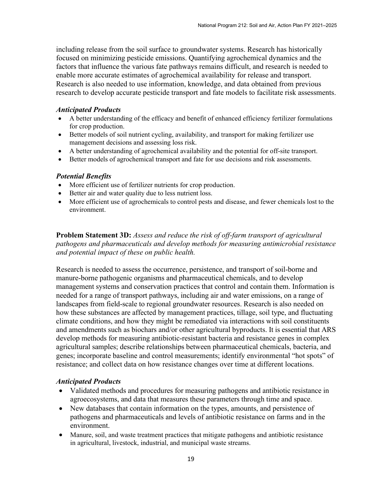including release from the soil surface to groundwater systems. Research has historically focused on minimizing pesticide emissions. Quantifying agrochemical dynamics and the factors that influence the various fate pathways remains difficult, and research is needed to enable more accurate estimates of agrochemical availability for release and transport. Research is also needed to use information, knowledge, and data obtained from previous research to develop accurate pesticide transport and fate models to facilitate risk assessments.

#### *Anticipated Products*

- A better understanding of the efficacy and benefit of enhanced efficiency fertilizer formulations for crop production.
- Better models of soil nutrient cycling, availability, and transport for making fertilizer use management decisions and assessing loss risk.
- A better understanding of agrochemical availability and the potential for off-site transport.
- Better models of agrochemical transport and fate for use decisions and risk assessments.

#### *Potential Benefits*

- More efficient use of fertilizer nutrients for crop production.
- Better air and water quality due to less nutrient loss.
- More efficient use of agrochemicals to control pests and disease, and fewer chemicals lost to the environment.

**Problem Statement 3D:** *Assess and reduce the risk of off-farm transport of agricultural pathogens and pharmaceuticals and develop methods for measuring antimicrobial resistance and potential impact of these on public health.*

Research is needed to assess the occurrence, persistence, and transport of soil-borne and manure-borne pathogenic organisms and pharmaceutical chemicals, and to develop management systems and conservation practices that control and contain them. Information is needed for a range of transport pathways, including air and water emissions, on a range of landscapes from field-scale to regional groundwater resources. Research is also needed on how these substances are affected by management practices, tillage, soil type, and fluctuating climate conditions, and how they might be remediated via interactions with soil constituents and amendments such as biochars and/or other agricultural byproducts. It is essential that ARS develop methods for measuring antibiotic-resistant bacteria and resistance genes in complex agricultural samples; describe relationships between pharmaceutical chemicals, bacteria, and genes; incorporate baseline and control measurements; identify environmental "hot spots" of resistance; and collect data on how resistance changes over time at different locations.

#### *Anticipated Products*

- Validated methods and procedures for measuring pathogens and antibiotic resistance in agroecosystems, and data that measures these parameters through time and space.
- New databases that contain information on the types, amounts, and persistence of pathogens and pharmaceuticals and levels of antibiotic resistance on farms and in the environment.
- Manure, soil, and waste treatment practices that mitigate pathogens and antibiotic resistance in agricultural, livestock, industrial, and municipal waste streams.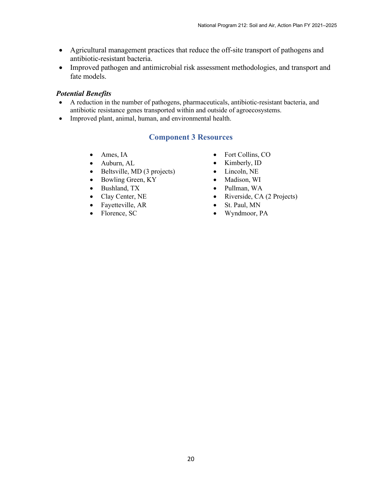- Agricultural management practices that reduce the off-site transport of pathogens and antibiotic-resistant bacteria.
- Improved pathogen and antimicrobial risk assessment methodologies, and transport and fate models.

#### *Potential Benefits*

- A reduction in the number of pathogens, pharmaceuticals, antibiotic-resistant bacteria, and antibiotic resistance genes transported within and outside of agroecosystems.
- Improved plant, animal, human, and environmental health.

# **Component 3 Resources**

- Ames, IA
- Auburn, AL
- Beltsville, MD (3 projects)
- Bowling Green, KY
- Bushland, TX
- Clay Center, NE
- Fayetteville, AR
- Florence, SC
- Fort Collins, CO
- Kimberly, ID
- Lincoln, NE
- Madison, WI
- Pullman, WA
- Riverside, CA (2 Projects)
- St. Paul, MN
- Wyndmoor, PA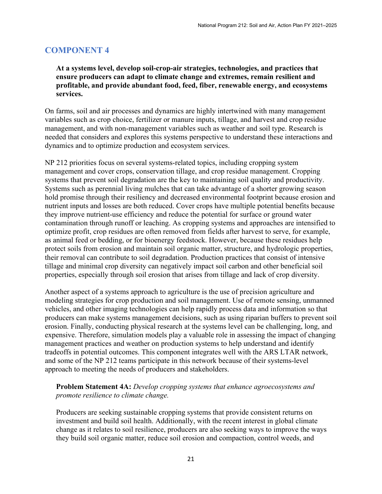# **COMPONENT 4**

**At a systems level, develop soil-crop-air strategies, technologies, and practices that ensure producers can adapt to climate change and extremes, remain resilient and profitable, and provide abundant food, feed, fiber, renewable energy, and ecosystems services.**

On farms, soil and air processes and dynamics are highly intertwined with many management variables such as crop choice, fertilizer or manure inputs, tillage, and harvest and crop residue management, and with non-management variables such as weather and soil type. Research is needed that considers and explores this systems perspective to understand these interactions and dynamics and to optimize production and ecosystem services.

NP 212 priorities focus on several systems-related topics, including cropping system management and cover crops, conservation tillage, and crop residue management. Cropping systems that prevent soil degradation are the key to maintaining soil quality and productivity. Systems such as perennial living mulches that can take advantage of a shorter growing season hold promise through their resiliency and decreased environmental footprint because erosion and nutrient inputs and losses are both reduced. Cover crops have multiple potential benefits because they improve nutrient-use efficiency and reduce the potential for surface or ground water contamination through runoff or leaching. As cropping systems and approaches are intensified to optimize profit, crop residues are often removed from fields after harvest to serve, for example, as animal feed or bedding, or for bioenergy feedstock. However, because these residues help protect soils from erosion and maintain soil organic matter, structure, and hydrologic properties, their removal can contribute to soil degradation. Production practices that consist of intensive tillage and minimal crop diversity can negatively impact soil carbon and other beneficial soil properties, especially through soil erosion that arises from tillage and lack of crop diversity.

Another aspect of a systems approach to agriculture is the use of precision agriculture and modeling strategies for crop production and soil management. Use of remote sensing, unmanned vehicles, and other imaging technologies can help rapidly process data and information so that producers can make systems management decisions, such as using riparian buffers to prevent soil erosion. Finally, conducting physical research at the systems level can be challenging, long, and expensive. Therefore, simulation models play a valuable role in assessing the impact of changing management practices and weather on production systems to help understand and identify tradeoffs in potential outcomes. This component integrates well with the ARS LTAR network, and some of the NP 212 teams participate in this network because of their systems-level approach to meeting the needs of producers and stakeholders.

**Problem Statement 4A:** *Develop cropping systems that enhance agroecosystems and promote resilience to climate change.*

Producers are seeking sustainable cropping systems that provide consistent returns on investment and build soil health. Additionally, with the recent interest in global climate change as it relates to soil resilience, producers are also seeking ways to improve the ways they build soil organic matter, reduce soil erosion and compaction, control weeds, and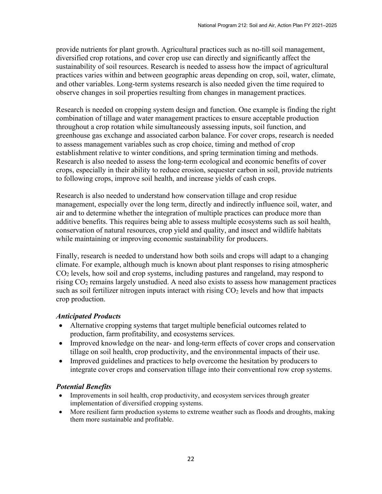provide nutrients for plant growth. Agricultural practices such as no-till soil management, diversified crop rotations, and cover crop use can directly and significantly affect the sustainability of soil resources. Research is needed to assess how the impact of agricultural practices varies within and between geographic areas depending on crop, soil, water, climate, and other variables. Long-term systems research is also needed given the time required to observe changes in soil properties resulting from changes in management practices.

Research is needed on cropping system design and function. One example is finding the right combination of tillage and water management practices to ensure acceptable production throughout a crop rotation while simultaneously assessing inputs, soil function, and greenhouse gas exchange and associated carbon balance. For cover crops, research is needed to assess management variables such as crop choice, timing and method of crop establishment relative to winter conditions, and spring termination timing and methods. Research is also needed to assess the long-term ecological and economic benefits of cover crops, especially in their ability to reduce erosion, sequester carbon in soil, provide nutrients to following crops, improve soil health, and increase yields of cash crops.

Research is also needed to understand how conservation tillage and crop residue management, especially over the long term, directly and indirectly influence soil, water, and air and to determine whether the integration of multiple practices can produce more than additive benefits. This requires being able to assess multiple ecosystems such as soil health, conservation of natural resources, crop yield and quality, and insect and wildlife habitats while maintaining or improving economic sustainability for producers.

Finally, research is needed to understand how both soils and crops will adapt to a changing climate. For example, although much is known about plant responses to rising atmospheric CO2 levels, how soil and crop systems, including pastures and rangeland, may respond to rising  $CO<sub>2</sub>$  remains largely unstudied. A need also exists to assess how management practices such as soil fertilizer nitrogen inputs interact with rising  $CO<sub>2</sub>$  levels and how that impacts crop production.

# *Anticipated Products*

- Alternative cropping systems that target multiple beneficial outcomes related to production, farm profitability, and ecosystems services.
- Improved knowledge on the near- and long-term effects of cover crops and conservation tillage on soil health, crop productivity, and the environmental impacts of their use.
- Improved guidelines and practices to help overcome the hesitation by producers to integrate cover crops and conservation tillage into their conventional row crop systems.

# *Potential Benefits*

- Improvements in soil health, crop productivity, and ecosystem services through greater implementation of diversified cropping systems.
- More resilient farm production systems to extreme weather such as floods and droughts, making them more sustainable and profitable.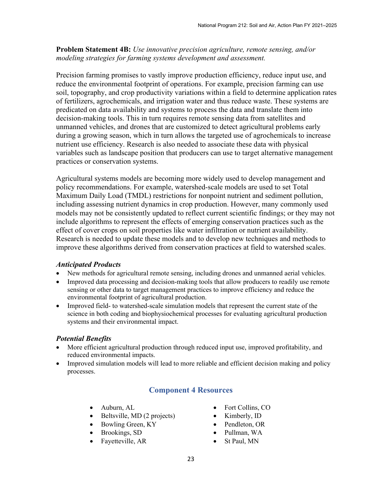**Problem Statement 4B:** *Use innovative precision agriculture, remote sensing, and/or modeling strategies for farming systems development and assessment.*

Precision farming promises to vastly improve production efficiency, reduce input use, and reduce the environmental footprint of operations. For example, precision farming can use soil, topography, and crop productivity variations within a field to determine application rates of fertilizers, agrochemicals, and irrigation water and thus reduce waste. These systems are predicated on data availability and systems to process the data and translate them into decision-making tools. This in turn requires remote sensing data from satellites and unmanned vehicles, and drones that are customized to detect agricultural problems early during a growing season, which in turn allows the targeted use of agrochemicals to increase nutrient use efficiency. Research is also needed to associate these data with physical variables such as landscape position that producers can use to target alternative management practices or conservation systems.

Agricultural systems models are becoming more widely used to develop management and policy recommendations. For example, watershed-scale models are used to set Total Maximum Daily Load (TMDL) restrictions for nonpoint nutrient and sediment pollution, including assessing nutrient dynamics in crop production. However, many commonly used models may not be consistently updated to reflect current scientific findings; or they may not include algorithms to represent the effects of emerging conservation practices such as the effect of cover crops on soil properties like water infiltration or nutrient availability. Research is needed to update these models and to develop new techniques and methods to improve these algorithms derived from conservation practices at field to watershed scales.

#### *Anticipated Products*

- New methods for agricultural remote sensing, including drones and unmanned aerial vehicles.
- Improved data processing and decision-making tools that allow producers to readily use remote sensing or other data to target management practices to improve efficiency and reduce the environmental footprint of agricultural production.
- Improved field- to watershed-scale simulation models that represent the current state of the science in both coding and biophysiochemical processes for evaluating agricultural production systems and their environmental impact.

# *Potential Benefits*

- More efficient agricultural production through reduced input use, improved profitability, and reduced environmental impacts.
- Improved simulation models will lead to more reliable and efficient decision making and policy processes.

# **Component 4 Resources**

- Auburn, AL
- Beltsville, MD (2 projects)
- Bowling Green, KY
- Brookings, SD
- Fayetteville, AR
- Fort Collins, CO
- Kimberly, ID
- Pendleton, OR
- Pullman, WA
- St Paul, MN